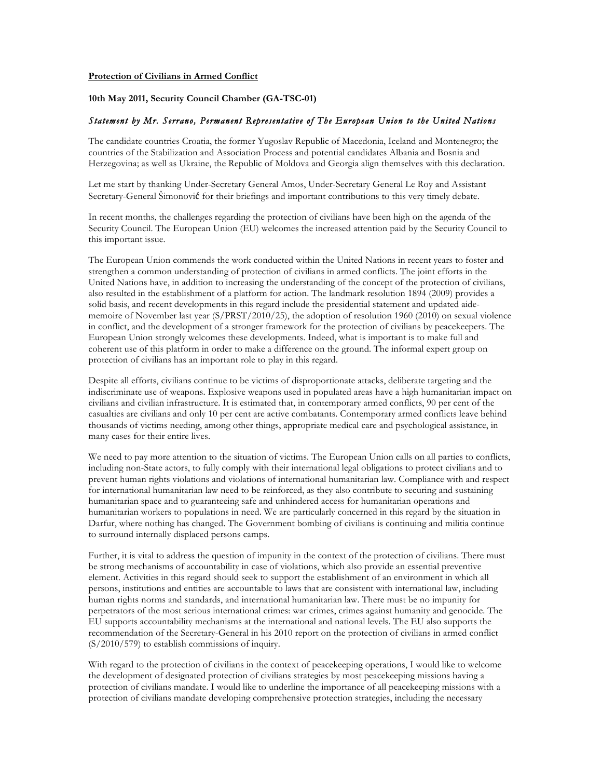## **Protection of Civilians in Armed Conflict**

**10th May 2011, Security Council Chamber (GA-TSC-01)**

## *Statement by Mr. Serrano, Permanent Representative of The European Union to the United Nations*

The candidate countries Croatia, the former Yugoslav Republic of Macedonia, Iceland and Montenegro; the countries of the Stabilization and Association Process and potential candidates Albania and Bosnia and Herzegovina; as well as Ukraine, the Republic of Moldova and Georgia align themselves with this declaration.

Let me start by thanking Under-Secretary General Amos, Under-Secretary General Le Roy and Assistant Secretary-General Šimonović for their briefings and important contributions to this very timely debate.

In recent months, the challenges regarding the protection of civilians have been high on the agenda of the Security Council. The European Union (EU) welcomes the increased attention paid by the Security Council to this important issue.

The European Union commends the work conducted within the United Nations in recent years to foster and strengthen a common understanding of protection of civilians in armed conflicts. The joint efforts in the United Nations have, in addition to increasing the understanding of the concept of the protection of civilians, also resulted in the establishment of a platform for action. The landmark resolution 1894 (2009) provides a solid basis, and recent developments in this regard include the presidential statement and updated aidememoire of November last year (S/PRST/2010/25), the adoption of resolution 1960 (2010) on sexual violence in conflict, and the development of a stronger framework for the protection of civilians by peacekeepers. The European Union strongly welcomes these developments. Indeed, what is important is to make full and coherent use of this platform in order to make a difference on the ground. The informal expert group on protection of civilians has an important role to play in this regard.

Despite all efforts, civilians continue to be victims of disproportionate attacks, deliberate targeting and the indiscriminate use of weapons. Explosive weapons used in populated areas have a high humanitarian impact on civilians and civilian infrastructure. It is estimated that, in contemporary armed conflicts, 90 per cent of the casualties are civilians and only 10 per cent are active combatants. Contemporary armed conflicts leave behind thousands of victims needing, among other things, appropriate medical care and psychological assistance, in many cases for their entire lives.

We need to pay more attention to the situation of victims. The European Union calls on all parties to conflicts, including non-State actors, to fully comply with their international legal obligations to protect civilians and to prevent human rights violations and violations of international humanitarian law. Compliance with and respect for international humanitarian law need to be reinforced, as they also contribute to securing and sustaining humanitarian space and to guaranteeing safe and unhindered access for humanitarian operations and humanitarian workers to populations in need. We are particularly concerned in this regard by the situation in Darfur, where nothing has changed. The Government bombing of civilians is continuing and militia continue to surround internally displaced persons camps.

Further, it is vital to address the question of impunity in the context of the protection of civilians. There must be strong mechanisms of accountability in case of violations, which also provide an essential preventive element. Activities in this regard should seek to support the establishment of an environment in which all persons, institutions and entities are accountable to laws that are consistent with international law, including human rights norms and standards, and international humanitarian law. There must be no impunity for perpetrators of the most serious international crimes: war crimes, crimes against humanity and genocide. The EU supports accountability mechanisms at the international and national levels. The EU also supports the recommendation of the Secretary-General in his 2010 report on the protection of civilians in armed conflict (S/2010/579) to establish commissions of inquiry.

With regard to the protection of civilians in the context of peacekeeping operations, I would like to welcome the development of designated protection of civilians strategies by most peacekeeping missions having a protection of civilians mandate. I would like to underline the importance of all peacekeeping missions with a protection of civilians mandate developing comprehensive protection strategies, including the necessary